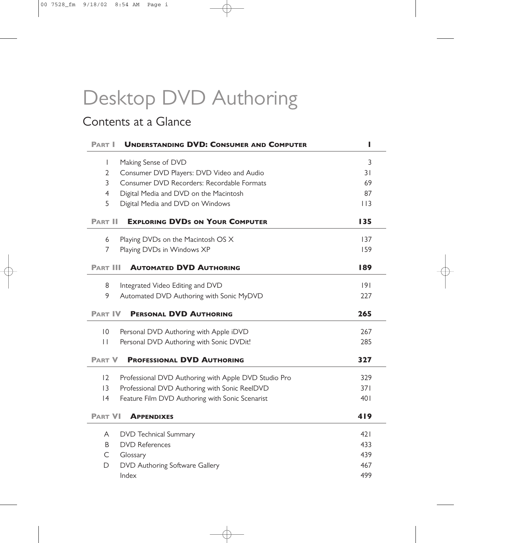# Desktop DVD Authoring

# Contents at a Glance

| <b>PART I</b>   | <b>UNDERSTANDING DVD: CONSUMER AND COMPUTER</b>      | ı    |
|-----------------|------------------------------------------------------|------|
| $\mathbf{I}$    | Making Sense of DVD                                  | 3    |
| $\overline{2}$  | Consumer DVD Players: DVD Video and Audio            | 31   |
| 3               | Consumer DVD Recorders: Recordable Formats           | 69   |
| $\overline{4}$  | Digital Media and DVD on the Macintosh               | 87   |
| 5               | Digital Media and DVD on Windows                     | 113  |
| <b>PART II</b>  | <b>EXPLORING DVDS ON YOUR COMPUTER</b>               | 135  |
| 6               | Playing DVDs on the Macintosh OS X                   | 137  |
| 7               | Playing DVDs in Windows XP                           | 159  |
| <b>PART III</b> | <b>AUTOMATED DVD AUTHORING</b>                       | 189  |
| 8               | Integrated Video Editing and DVD                     | 9    |
| 9               | Automated DVD Authoring with Sonic MyDVD             | 227  |
| <b>PART IV</b>  | <b>PERSONAL DVD AUTHORING</b>                        | 265  |
| 10              | Personal DVD Authoring with Apple iDVD               | 267  |
| $\mathbf{H}$    | Personal DVD Authoring with Sonic DVDit!             | 285  |
| <b>PART V</b>   | <b>PROFESSIONAL DVD AUTHORING</b>                    | 327  |
| 12              | Professional DVD Authoring with Apple DVD Studio Pro | 329  |
| 3               | Professional DVD Authoring with Sonic ReelDVD        | 371  |
| 4               | Feature Film DVD Authoring with Sonic Scenarist      | 401  |
| <b>PART VI</b>  | <b>APPENDIXES</b>                                    | 419  |
| A               | <b>DVD</b> Technical Summary                         | 42 I |
| B               | <b>DVD References</b>                                | 433  |
| C               | Glossary                                             | 439  |
| D               | DVD Authoring Software Gallery                       | 467  |
|                 | Index                                                | 499  |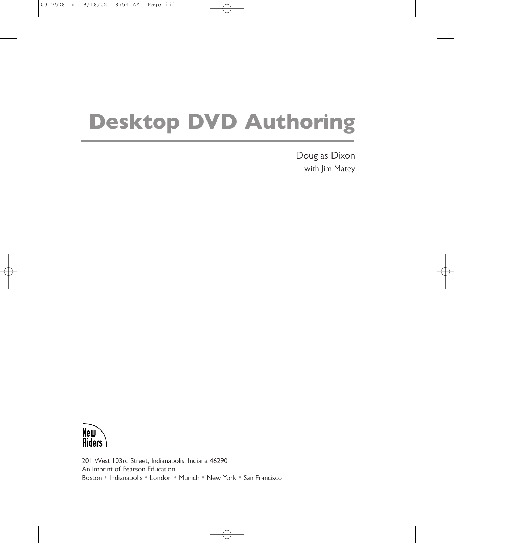# **Desktop DVD Authoring**

Douglas Dixon with Jim Matey



201 West 103rd Street, Indianapolis, Indiana 46290 An Imprint of Pearson Education Boston • Indianapolis • London • Munich • New York • San Francisco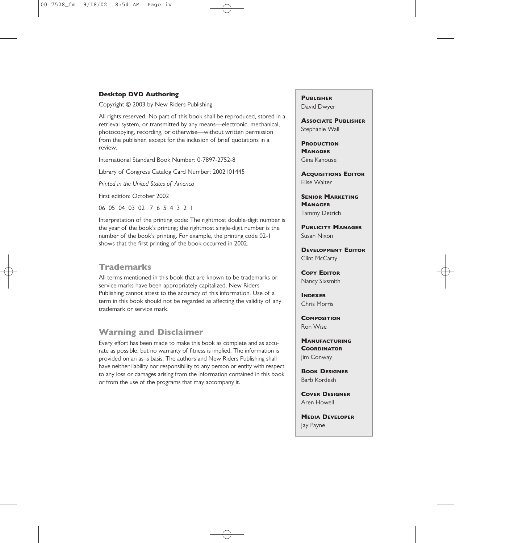#### **Desktop DVD Authoring**

Copyright © 2003 by New Riders Publishing

All rights reserved. No part of this book shall be reproduced, stored in a retrieval system, or transmitted by any means—electronic, mechanical, photocopying, recording, or otherwise—without written permission from the publisher, except for the inclusion of brief quotations in a review.

International Standard Book Number: 0-7897-2752-8

Library of Congress Catalog Card Number: 2002101445

*Printed in the United States of America*

First edition: October 2002

06 05 04 03 02 7 6 5 4 3 2 1

Interpretation of the printing code: The rightmost double-digit number is the year of the book's printing; the rightmost single-digit number is the number of the book's printing. For example, the printing code 02-1 shows that the first printing of the book occurred in 2002.

#### **Trademarks**

All terms mentioned in this book that are known to be trademarks or service marks have been appropriately capitalized. New Riders Publishing cannot attest to the accuracy of this information. Use of a term in this book should not be regarded as affecting the validity of any trademark or service mark.

#### **Warning and Disclaimer**

Every effort has been made to make this book as complete and as accurate as possible, but no warranty of fitness is implied. The information is provided on an as-is basis. The authors and New Riders Publishing shall have neither liability nor responsibility to any person or entity with respect to any loss or damages arising from the information contained in this book or from the use of the programs that may accompany it.

**PUBLISHER** David Dwyer

**ASSOCIATE PUBLISHER** Stephanie Wall

**PRODUCTION MANAGER** Gina Kanouse

**ACQUISITIONS EDITOR** Elise Walter

**SENIOR MARKETING MANAGER** Tammy Detrich

**PUBLICITY MANAGER** Susan Nixon

**DEVELOPMENT EDITOR** Clint McCarty

**COPY EDITOR** Nancy Sixsmith

**INDEXER** Chris Morris

**COMPOSITION** Ron Wise

**MANUFACTURING COORDINATOR** Jim Conway

**BOOK DESIGNER** Barb Kordesh

**COVER DESIGNER** Aren Howell

**MEDIA DEVELOPER** Jay Payne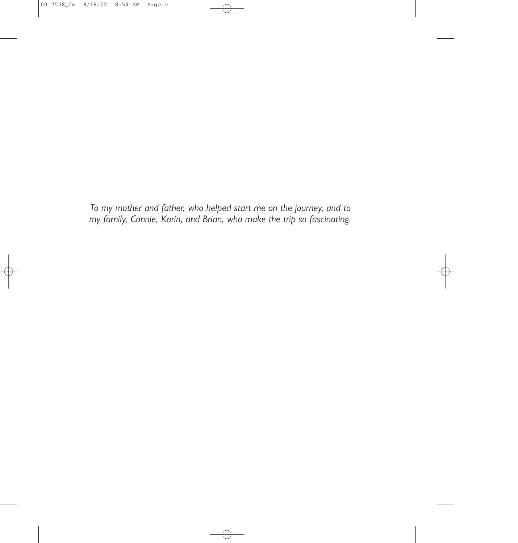*To my mother and father, who helped start me on the journey, and to my family, Connie, Karin, and Brian, who make the trip so fascinating.*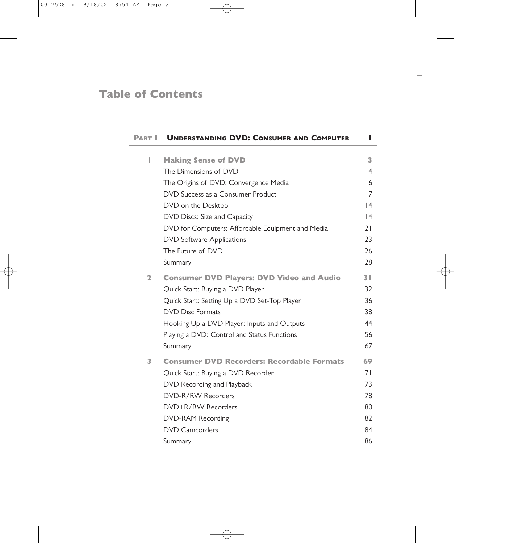### **Table of Contents**

| <b>PART I</b> | <b>UNDERSTANDING DVD: CONSUMER AND COMPUTER</b>   | L              |
|---------------|---------------------------------------------------|----------------|
| I             | <b>Making Sense of DVD</b>                        | 3              |
|               | The Dimensions of DVD                             | $\overline{4}$ |
|               | The Origins of DVD: Convergence Media             | 6              |
|               | DVD Success as a Consumer Product                 | $\overline{7}$ |
|               | DVD on the Desktop                                | 4              |
|               | DVD Discs: Size and Capacity                      | 4              |
|               | DVD for Computers: Affordable Equipment and Media | 21             |
|               | <b>DVD Software Applications</b>                  | 23             |
|               | The Future of DVD                                 | 26             |
|               | Summary                                           | 28             |
|               |                                                   |                |
| $\mathbf{2}$  | <b>Consumer DVD Players: DVD Video and Audio</b>  | 3 <sup>1</sup> |
|               | Quick Start: Buying a DVD Player                  | 32             |
|               | Quick Start: Setting Up a DVD Set-Top Player      | 36             |
|               | <b>DVD Disc Formats</b>                           | 38             |
|               | Hooking Up a DVD Player: Inputs and Outputs       | 44             |
|               | Playing a DVD: Control and Status Functions       | 56             |
|               | Summary                                           | 67             |
| 3             | <b>Consumer DVD Recorders: Recordable Formats</b> | 69             |
|               | Quick Start: Buying a DVD Recorder                | 71             |
|               | DVD Recording and Playback                        | 73             |
|               | DVD-R/RW Recorders                                | 78             |
|               | DVD+R/RW Recorders                                | 80             |
|               | DVD-RAM Recording                                 | 82             |
|               | <b>DVD Camcorders</b>                             | 84             |
|               | Summary                                           | 86             |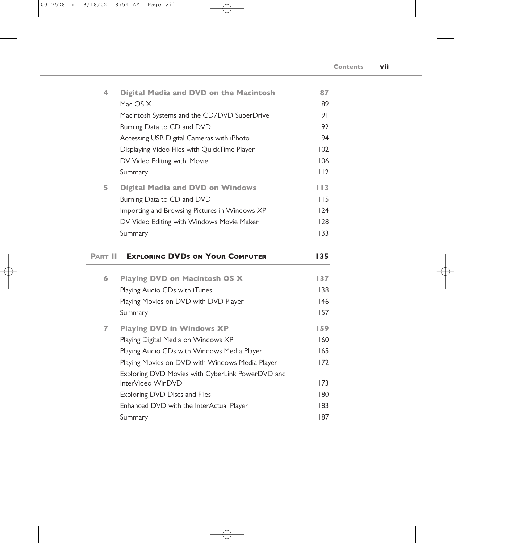| 4 | <b>Digital Media and DVD on the Macintosh</b> | 87     |
|---|-----------------------------------------------|--------|
|   | Mac OS X                                      | 89     |
|   | Macintosh Systems and the CD/DVD SuperDrive   | 91     |
|   | Burning Data to CD and DVD                    | 92     |
|   | Accessing USB Digital Cameras with iPhoto     | 94     |
|   | Displaying Video Files with QuickTime Player  | 102    |
|   | DV Video Editing with iMovie                  | 106    |
|   | Summary                                       | 112    |
| 5 | <b>Digital Media and DVD on Windows</b>       | I I 3. |
|   | Burning Data to CD and DVD                    | I I 5  |
|   | Importing and Browsing Pictures in Windows XP | 124    |
|   | DV Video Editing with Windows Movie Maker     | 128    |
|   | Summary                                       | 133    |
|   |                                               |        |

|   | <b>PART II EXPLORING DVDS ON YOUR COMPUTER</b>   | 135 |
|---|--------------------------------------------------|-----|
| 6 | <b>Playing DVD on Macintosh OS X</b>             | 137 |
|   | Playing Audio CDs with iTunes                    | 138 |
|   | Playing Movies on DVD with DVD Player            | 146 |
|   | Summary                                          | 157 |
| 7 | <b>Playing DVD in Windows XP</b>                 | 159 |
|   | Playing Digital Media on Windows XP              | 160 |
|   | Playing Audio CDs with Windows Media Player      | 165 |
|   | Playing Movies on DVD with Windows Media Player  | 172 |
|   | Exploring DVD Movies with CyberLink PowerDVD and |     |
|   | InterVideo WinDVD                                | 173 |
|   | Exploring DVD Discs and Files                    | 180 |
|   | Enhanced DVD with the InterActual Player         | 183 |
|   | Summary                                          | 187 |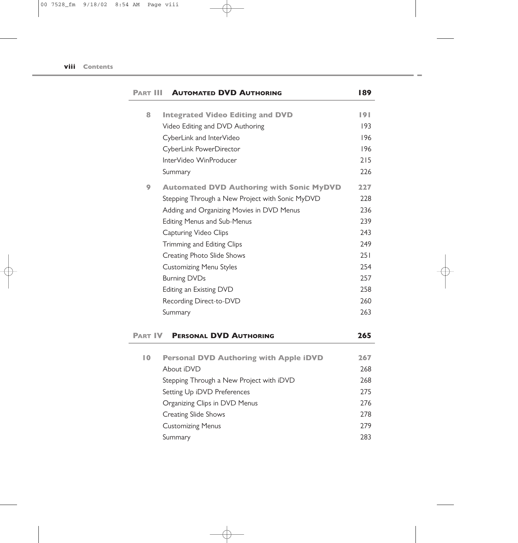| Part III       | <b>AUTOMATED DVD AUTHORING</b>                  | 189 |
|----------------|-------------------------------------------------|-----|
| 8              | <b>Integrated Video Editing and DVD</b>         | 191 |
|                | Video Editing and DVD Authoring                 | 193 |
|                | CyberLink and InterVideo                        | 196 |
|                | CyberLink PowerDirector                         | 196 |
|                | InterVideo WinProducer                          | 215 |
|                | Summary                                         | 226 |
| 9              | <b>Automated DVD Authoring with Sonic MyDVD</b> | 227 |
|                | Stepping Through a New Project with Sonic MyDVD | 228 |
|                | Adding and Organizing Movies in DVD Menus       | 236 |
|                | <b>Editing Menus and Sub-Menus</b>              | 239 |
|                | Capturing Video Clips                           | 243 |
|                | Trimming and Editing Clips                      | 249 |
|                | Creating Photo Slide Shows                      | 251 |
|                | <b>Customizing Menu Styles</b>                  | 254 |
|                | <b>Burning DVDs</b>                             | 257 |
|                | Editing an Existing DVD                         | 258 |
|                | Recording Direct-to-DVD                         | 260 |
|                | Summary                                         | 263 |
| <b>PART IV</b> | <b>PERSONAL DVD AUTHORING</b>                   | 265 |
| 10             | <b>Personal DVD Authoring with Apple iDVD</b>   | 267 |
|                | About iDVD                                      | 268 |
|                | Stepping Through a New Project with iDVD        | 268 |
|                | Setting Up iDVD Preferences                     | 275 |
|                | Organizing Clips in DVD Menus                   | 276 |
|                | <b>Creating Slide Shows</b>                     | 278 |
|                | <b>Customizing Menus</b>                        | 279 |
|                | Summary                                         | 283 |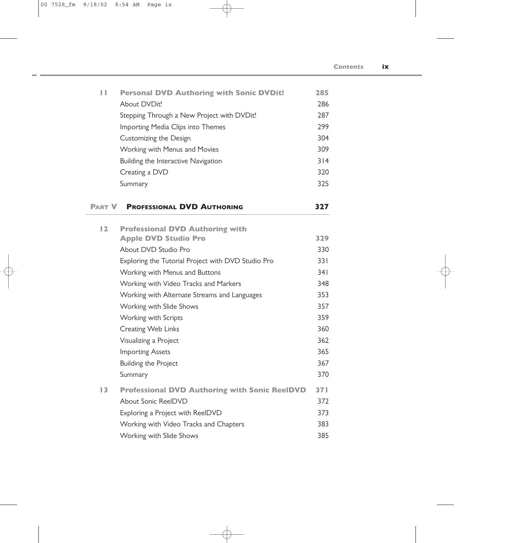| Ш | <b>Personal DVD Authoring with Sonic DVDit!</b> | 285 |
|---|-------------------------------------------------|-----|
|   | About DVDit!                                    | 286 |
|   | Stepping Through a New Project with DVDit!      | 287 |
|   | Importing Media Clips into Themes               | 299 |
|   | Customizing the Design                          | 304 |
|   | Working with Menus and Movies                   | 309 |
|   | Building the Interactive Navigation             | 314 |
|   | Creating a DVD                                  | 320 |
|   | Summary                                         | 325 |
|   |                                                 |     |

#### **PART V PROFESSIONAL DVD AUTHORING 327**

| $\overline{2}$ | <b>Professional DVD Authoring with</b>               |     |
|----------------|------------------------------------------------------|-----|
|                | <b>Apple DVD Studio Pro</b>                          | 329 |
|                | About DVD Studio Pro                                 | 330 |
|                | Exploring the Tutorial Project with DVD Studio Pro   | 331 |
|                | Working with Menus and Buttons                       | 341 |
|                | Working with Video Tracks and Markers                | 348 |
|                | Working with Alternate Streams and Languages         | 353 |
|                | Working with Slide Shows                             | 357 |
|                | Working with Scripts                                 | 359 |
|                | Creating Web Links                                   | 360 |
|                | Visualizing a Project                                | 362 |
|                | <b>Importing Assets</b>                              | 365 |
|                | Building the Project                                 | 367 |
|                | Summary                                              | 370 |
| 3              | <b>Professional DVD Authoring with Sonic ReelDVD</b> | 371 |
|                | About Sonic ReelDVD                                  | 372 |
|                | Exploring a Project with ReelDVD                     | 373 |
|                | Working with Video Tracks and Chapters               | 383 |
|                | Working with Slide Shows                             | 385 |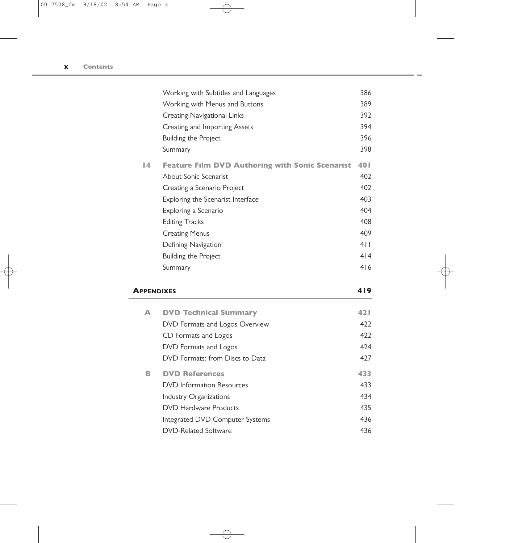|               | Working with Subtitles and Languages                   | 386 |
|---------------|--------------------------------------------------------|-----|
|               | Working with Menus and Buttons                         | 389 |
|               |                                                        |     |
|               | Creating Navigational Links                            | 392 |
|               | Creating and Importing Assets                          | 394 |
|               | <b>Building the Project</b>                            | 396 |
|               | Summary                                                | 398 |
| $\mathsf{I}4$ | <b>Feature Film DVD Authoring with Sonic Scenarist</b> | 401 |
|               | About Sonic Scenarist                                  | 402 |
|               | Creating a Scenario Project                            | 402 |
|               | Exploring the Scenarist Interface                      | 403 |
|               | Exploring a Scenario                                   | 404 |
|               | <b>Editing Tracks</b>                                  | 408 |
|               | <b>Creating Menus</b>                                  | 409 |
|               | Defining Navigation                                    | 4 1 |
|               | Building the Project                                   | 414 |
|               | Summary                                                | 416 |
|               |                                                        |     |

#### **APPENDIXES 419**

| A | <b>DVD Technical Summary</b>     | 42 I |
|---|----------------------------------|------|
|   | DVD Formats and Logos Overview   | 422  |
|   | CD Formats and Logos             | 422  |
|   | DVD Formats and Logos            | 474  |
|   | DVD Formats: from Discs to Data  | 427  |
| R | <b>DVD References</b>            | 433  |
|   | <b>DVD</b> Information Resources | 433  |
|   | Industry Organizations           | 434  |
|   | <b>DVD Hardware Products</b>     | 435  |
|   | Integrated DVD Computer Systems  | 436  |
|   | DVD-Related Software             | 436  |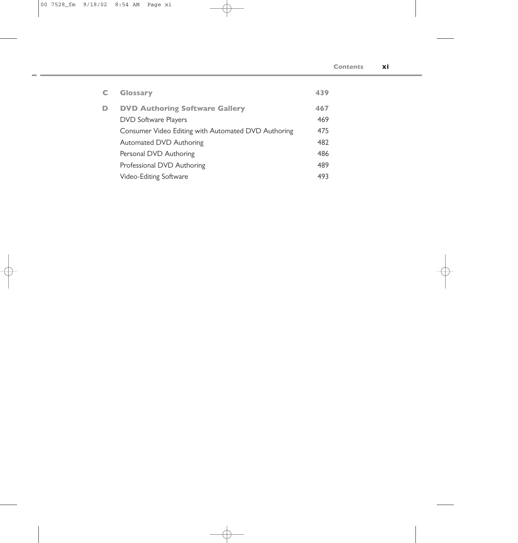| C | <b>Glossary</b>                                     | 439 |
|---|-----------------------------------------------------|-----|
| D | <b>DVD Authoring Software Gallery</b>               | 467 |
|   | <b>DVD Software Players</b>                         | 469 |
|   | Consumer Video Editing with Automated DVD Authoring | 475 |
|   | Automated DVD Authoring                             | 482 |
|   | Personal DVD Authoring                              | 486 |
|   | Professional DVD Authoring                          | 489 |
|   | Video-Editing Software                              | 493 |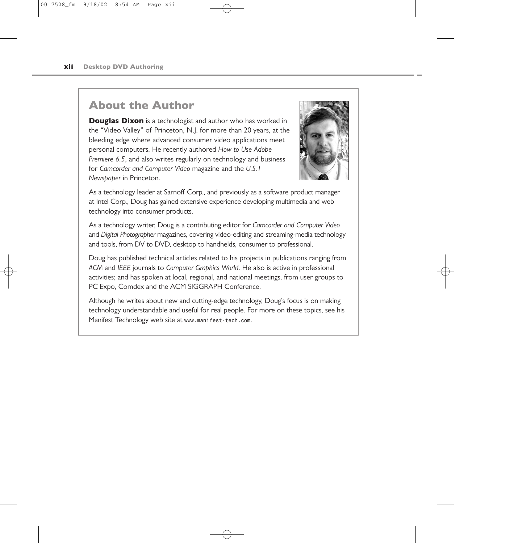### **About the Author**

**Douglas Dixon** is a technologist and author who has worked in the "Video Valley" of Princeton, N.J. for more than 20 years, at the bleeding edge where advanced consumer video applications meet personal computers. He recently authored *How to Use Adobe Premiere 6.5*, and also writes regularly on technology and business for *Camcorder and Computer Video* magazine and the *U.S.1 Newspaper* in Princeton.



As a technology leader at Sarnoff Corp., and previously as a software product manager at Intel Corp., Doug has gained extensive experience developing multimedia and web technology into consumer products.

As a technology writer, Doug is a contributing editor for *Camcorder and Computer Video* and *Digital Photographer* magazines, covering video-editing and streaming-media technology and tools, from DV to DVD, desktop to handhelds, consumer to professional.

Doug has published technical articles related to his projects in publications ranging from *ACM* and *IEEE* journals to *Computer Graphics World*. He also is active in professional activities; and has spoken at local, regional, and national meetings, from user groups to PC Expo, Comdex and the ACM SIGGRAPH Conference.

Although he writes about new and cutting-edge technology, Doug's focus is on making technology understandable and useful for real people. For more on these topics, see his Manifest Technology web site at *www.manifest-tech.com*.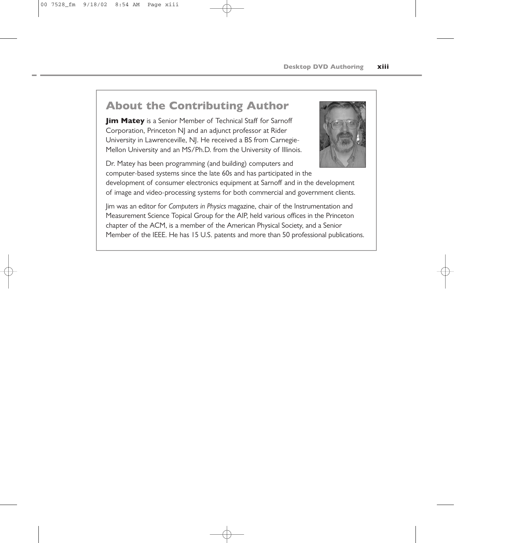# **About the Contributing Author**

**Jim Matey** is a Senior Member of Technical Staff for Sarnoff Corporation, Princeton NJ and an adjunct professor at Rider University in Lawrenceville, NJ. He received a BS from Carnegie-Mellon University and an MS/Ph.D. from the University of Illinois.



Dr. Matey has been programming (and building) computers and computer-based systems since the late 60s and has participated in the

development of consumer electronics equipment at Sarnoff and in the development of image and video-processing systems for both commercial and government clients.

Jim was an editor for *Computers in Physics* magazine, chair of the Instrumentation and Measurement Science Topical Group for the AIP, held various offices in the Princeton chapter of the ACM, is a member of the American Physical Society, and a Senior Member of the IEEE. He has 15 U.S. patents and more than 50 professional publications.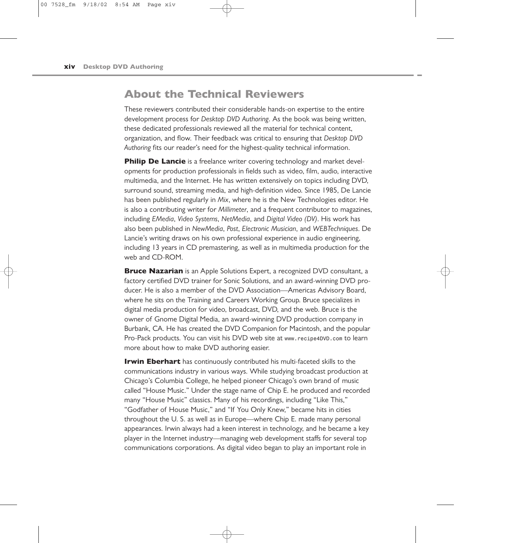#### **About the Technical Reviewers**

These reviewers contributed their considerable hands-on expertise to the entire development process for *Desktop DVD Authoring*. As the book was being written, these dedicated professionals reviewed all the material for technical content, organization, and flow. Their feedback was critical to ensuring that *Desktop DVD Authoring* fits our reader's need for the highest-quality technical information.

**Philip De Lancie** is a freelance writer covering technology and market developments for production professionals in fields such as video, film, audio, interactive multimedia, and the Internet. He has written extensively on topics including DVD, surround sound, streaming media, and high-definition video. Since 1985, De Lancie has been published regularly in *Mix*, where he is the New Technologies editor. He is also a contributing writer for *Millimeter*, and a frequent contributor to magazines, including *EMedia*, *Video Systems*, *NetMedia*, and *Digital Video (DV)*. His work has also been published in *NewMedia*, *Post*, *Electronic Musician*, and *WEBTechniques*. De Lancie's writing draws on his own professional experience in audio engineering, including 13 years in CD premastering, as well as in multimedia production for the web and CD-ROM.

**Bruce Nazarian** is an Apple Solutions Expert, a recognized DVD consultant, a factory certified DVD trainer for Sonic Solutions, and an award-winning DVD producer. He is also a member of the DVD Association—Americas Advisory Board, where he sits on the Training and Careers Working Group. Bruce specializes in digital media production for video, broadcast, DVD, and the web. Bruce is the owner of Gnome Digital Media, an award-winning DVD production company in Burbank, CA. He has created the DVD Companion for Macintosh, and the popular Pro-Pack products. You can visit his DVD web site at *www.recipe4DVD.com* to learn more about how to make DVD authoring easier.

**Irwin Eberhart** has continuously contributed his multi-faceted skills to the communications industry in various ways. While studying broadcast production at Chicago's Columbia College, he helped pioneer Chicago's own brand of music called "House Music." Under the stage name of Chip E. he produced and recorded many "House Music" classics. Many of his recordings, including "Like This," "Godfather of House Music," and "If You Only Knew," became hits in cities throughout the U. S. as well as in Europe—where Chip E. made many personal appearances. Irwin always had a keen interest in technology, and he became a key player in the Internet industry—managing web development staffs for several top communications corporations. As digital video began to play an important role in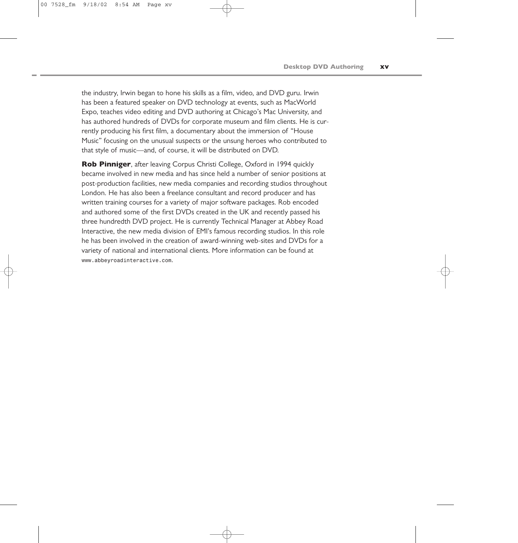the industry, Irwin began to hone his skills as a film, video, and DVD guru. Irwin has been a featured speaker on DVD technology at events, such as MacWorld Expo, teaches video editing and DVD authoring at Chicago's Mac University, and has authored hundreds of DVDs for corporate museum and film clients. He is currently producing his first film, a documentary about the immersion of "House Music" focusing on the unusual suspects or the unsung heroes who contributed to that style of music—and, of course, it will be distributed on DVD.

**Rob Pinniger**, after leaving Corpus Christi College, Oxford in 1994 quickly became involved in new media and has since held a number of senior positions at post-production facilities, new media companies and recording studios throughout London. He has also been a freelance consultant and record producer and has written training courses for a variety of major software packages. Rob encoded and authored some of the first DVDs created in the UK and recently passed his three hundredth DVD project. He is currently Technical Manager at Abbey Road Interactive, the new media division of EMI's famous recording studios. In this role he has been involved in the creation of award-winning web-sites and DVDs for a variety of national and international clients. More information can be found at *www.abbeyroadinteractive.com*.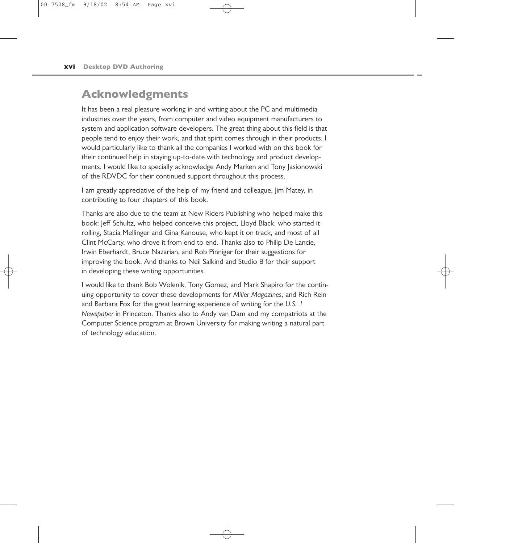## **Acknowledgments**

It has been a real pleasure working in and writing about the PC and multimedia industries over the years, from computer and video equipment manufacturers to system and application software developers. The great thing about this field is that people tend to enjoy their work, and that spirit comes through in their products. I would particularly like to thank all the companies I worked with on this book for their continued help in staying up-to-date with technology and product developments. I would like to specially acknowledge Andy Marken and Tony Jasionowski of the RDVDC for their continued support throughout this process.

I am greatly appreciative of the help of my friend and colleague, Iim Matey, in contributing to four chapters of this book.

Thanks are also due to the team at New Riders Publishing who helped make this book: Jeff Schultz, who helped conceive this project, Lloyd Black, who started it rolling, Stacia Mellinger and Gina Kanouse, who kept it on track, and most of all Clint McCarty, who drove it from end to end. Thanks also to Philip De Lancie, Irwin Eberhardt, Bruce Nazarian, and Rob Pinniger for their suggestions for improving the book. And thanks to Neil Salkind and Studio B for their support in developing these writing opportunities.

I would like to thank Bob Wolenik, Tony Gomez, and Mark Shapiro for the continuing opportunity to cover these developments for *Miller Magazines*, and Rich Rein and Barbara Fox for the great learning experience of writing for the *U.S. 1 Newspaper* in Princeton. Thanks also to Andy van Dam and my compatriots at the Computer Science program at Brown University for making writing a natural part of technology education.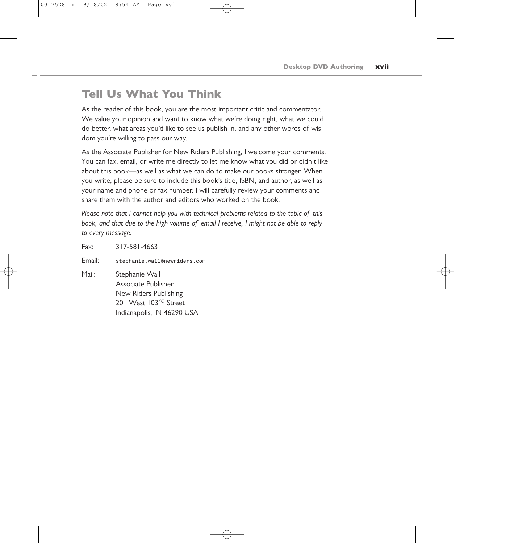## **Tell Us What You Think**

As the reader of this book, you are the most important critic and commentator. We value your opinion and want to know what we're doing right, what we could do better, what areas you'd like to see us publish in, and any other words of wisdom you're willing to pass our way.

As the Associate Publisher for New Riders Publishing, I welcome your comments. You can fax, email, or write me directly to let me know what you did or didn't like about this book—as well as what we can do to make our books stronger. When you write, please be sure to include this book's title, ISBN, and author, as well as your name and phone or fax number. I will carefully review your comments and share them with the author and editors who worked on the book.

*Please note that I cannot help you with technical problems related to the topic of this book, and that due to the high volume of email I receive, I might not be able to reply to every message.*

Fax: 317-581-4663 Email: *stephanie.wall@newriders.com* Mail: Stephanie Wall Associate Publisher New Riders Publishing 201 West 103<sup>rd</sup> Street Indianapolis, IN 46290 USA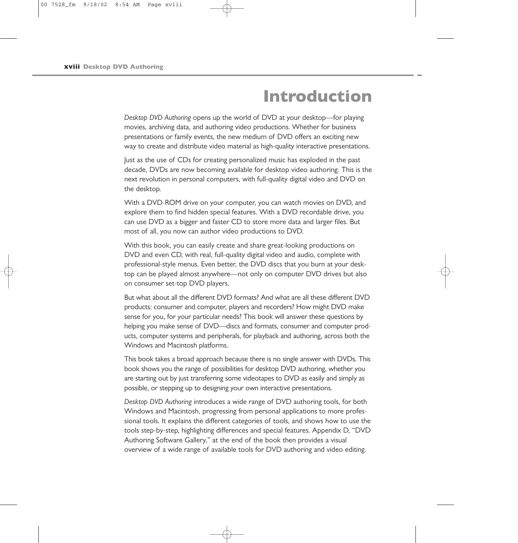# **Introduction**

*Desktop DVD Authoring* opens up the world of DVD at your desktop—for playing movies, archiving data, and authoring video productions. Whether for business presentations or family events, the new medium of DVD offers an exciting new way to create and distribute video material as high-quality interactive presentations.

Just as the use of CDs for creating personalized music has exploded in the past decade, DVDs are now becoming available for desktop video authoring. This is the next revolution in personal computers, with full-quality digital video and DVD on the desktop.

With a DVD-ROM drive on your computer, you can watch movies on DVD, and explore them to find hidden special features. With a DVD recordable drive, you can use DVD as a bigger and faster CD to store more data and larger files. But most of all, you now can author video productions to DVD.

With this book, you can easily create and share great-looking productions on DVD and even CD, with real, full-quality digital video and audio, complete with professional-style menus. Even better, the DVD discs that you burn at your desktop can be played almost anywhere—not only on computer DVD drives but also on consumer set-top DVD players.

But what about all the different DVD formats? And what are all these different DVD products: consumer and computer, players and recorders? How might DVD make sense for you, for your particular needs? This book will answer these questions by helping you make sense of DVD—discs and formats, consumer and computer products, computer systems and peripherals, for playback and authoring, across both the Windows and Macintosh platforms.

This book takes a broad approach because there is no single answer with DVDs. This book shows you the range of possibilities for desktop DVD authoring, whether you are starting out by just transferring some videotapes to DVD as easily and simply as possible, or stepping up to designing your own interactive presentations.

*Desktop DVD Authoring* introduces a wide range of DVD authoring tools, for both Windows and Macintosh, progressing from personal applications to more professional tools. It explains the different categories of tools, and shows how to use the tools step-by-step, highlighting differences and special features. Appendix D, "DVD Authoring Software Gallery," at the end of the book then provides a visual overview of a wide range of available tools for DVD authoring and video editing.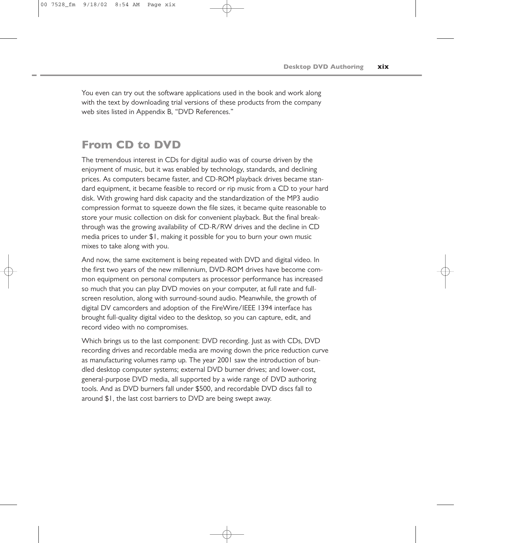You even can try out the software applications used in the book and work along with the text by downloading trial versions of these products from the company web sites listed in Appendix B, "DVD References."

#### **From CD to DVD**

The tremendous interest in CDs for digital audio was of course driven by the enjoyment of music, but it was enabled by technology, standards, and declining prices. As computers became faster, and CD-ROM playback drives became standard equipment, it became feasible to record or rip music from a CD to your hard disk. With growing hard disk capacity and the standardization of the MP3 audio compression format to squeeze down the file sizes, it became quite reasonable to store your music collection on disk for convenient playback. But the final breakthrough was the growing availability of CD-R/RW drives and the decline in CD media prices to under \$1, making it possible for you to burn your own music mixes to take along with you.

And now, the same excitement is being repeated with DVD and digital video. In the first two years of the new millennium, DVD-ROM drives have become common equipment on personal computers as processor performance has increased so much that you can play DVD movies on your computer, at full rate and fullscreen resolution, along with surround-sound audio. Meanwhile, the growth of digital DV camcorders and adoption of the FireWire/IEEE 1394 interface has brought full-quality digital video to the desktop, so you can capture, edit, and record video with no compromises.

Which brings us to the last component: DVD recording. Just as with CDs, DVD recording drives and recordable media are moving down the price reduction curve as manufacturing volumes ramp up. The year 2001 saw the introduction of bundled desktop computer systems; external DVD burner drives; and lower-cost, general-purpose DVD media, all supported by a wide range of DVD authoring tools. And as DVD burners fall under \$500, and recordable DVD discs fall to around \$1, the last cost barriers to DVD are being swept away.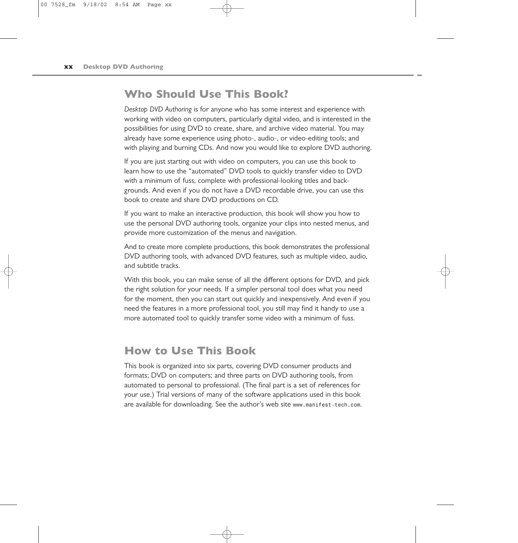#### **Who Should Use This Book?**

*Desktop DVD Authoring* is for anyone who has some interest and experience with working with video on computers, particularly digital video, and is interested in the possibilities for using DVD to create, share, and archive video material. You may already have some experience using photo-, audio-, or video-editing tools; and with playing and burning CDs. And now you would like to explore DVD authoring.

If you are just starting out with video on computers, you can use this book to learn how to use the "automated" DVD tools to quickly transfer video to DVD with a minimum of fuss, complete with professional-looking titles and backgrounds. And even if you do not have a DVD recordable drive, you can use this book to create and share DVD productions on CD.

If you want to make an interactive production, this book will show you how to use the personal DVD authoring tools, organize your clips into nested menus, and provide more customization of the menus and navigation.

And to create more complete productions, this book demonstrates the professional DVD authoring tools, with advanced DVD features, such as multiple video, audio, and subtitle tracks.

With this book, you can make sense of all the different options for DVD, and pick the right solution for your needs. If a simpler personal tool does what you need for the moment, then you can start out quickly and inexpensively. And even if you need the features in a more professional tool, you still may find it handy to use a more automated tool to quickly transfer some video with a minimum of fuss.

### **How to Use This Book**

This book is organized into six parts, covering DVD consumer products and formats; DVD on computers; and three parts on DVD authoring tools, from automated to personal to professional. (The final part is a set of references for your use.) Trial versions of many of the software applications used in this book are available for downloading. See the author's web site *www.manifest-tech.com*.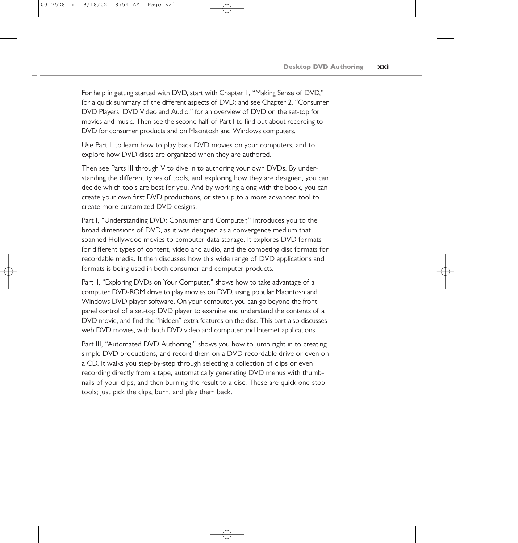For help in getting started with DVD, start with Chapter 1, "Making Sense of DVD," for a quick summary of the different aspects of DVD; and see Chapter 2, "Consumer DVD Players: DVD Video and Audio," for an overview of DVD on the set-top for movies and music. Then see the second half of Part I to find out about recording to DVD for consumer products and on Macintosh and Windows computers.

Use Part II to learn how to play back DVD movies on your computers, and to explore how DVD discs are organized when they are authored.

Then see Parts III through V to dive in to authoring your own DVDs. By understanding the different types of tools, and exploring how they are designed, you can decide which tools are best for you. And by working along with the book, you can create your own first DVD productions, or step up to a more advanced tool to create more customized DVD designs.

Part I, "Understanding DVD: Consumer and Computer," introduces you to the broad dimensions of DVD, as it was designed as a convergence medium that spanned Hollywood movies to computer data storage. It explores DVD formats for different types of content, video and audio, and the competing disc formats for recordable media. It then discusses how this wide range of DVD applications and formats is being used in both consumer and computer products.

Part II, "Exploring DVDs on Your Computer," shows how to take advantage of a computer DVD-ROM drive to play movies on DVD, using popular Macintosh and Windows DVD player software. On your computer, you can go beyond the frontpanel control of a set-top DVD player to examine and understand the contents of a DVD movie, and find the "hidden" extra features on the disc. This part also discusses web DVD movies, with both DVD video and computer and Internet applications.

Part III, "Automated DVD Authoring," shows you how to jump right in to creating simple DVD productions, and record them on a DVD recordable drive or even on a CD. It walks you step-by-step through selecting a collection of clips or even recording directly from a tape, automatically generating DVD menus with thumbnails of your clips, and then burning the result to a disc. These are quick one-stop tools; just pick the clips, burn, and play them back.